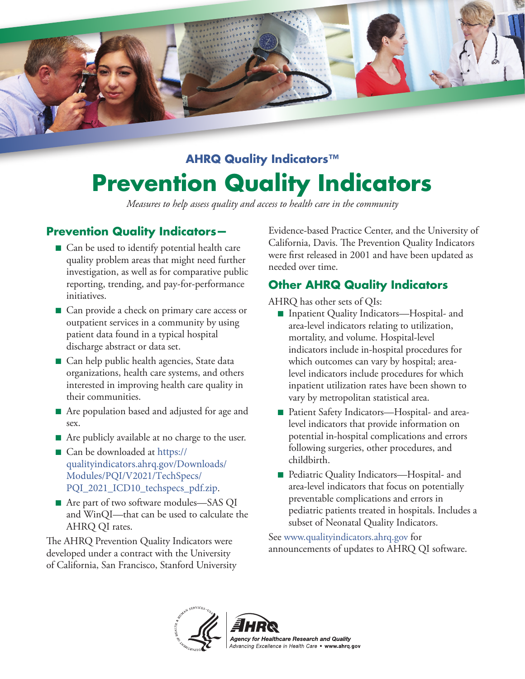

# **AHRQ Quality Indicators™ Prevention Quality Indicators**

*Measures to help assess quality and access to health care in the community* 

## **Prevention Quality Indicators—**

- Can be used to identify potential health care quality problem areas that might need further investigation, as well as for comparative public reporting, trending, and pay-for-performance initiatives.
- Can provide a check on primary care access or outpatient services in a community by using patient data found in a typical hospital discharge abstract or data set.
- Can help public health agencies, State data organizations, health care systems, and others interested in improving health care quality in their communities.
- Are population based and adjusted for age and sex.
- Are publicly available at no charge to the user.
- Can be downloaded at https:// [ualityindicators.ahrq.gov/Downloads/](https://qualityindicators.ahrq.gov/Downloads/Modules/PQI/V2021/TechSpecs/PQI_2021_ICD10_techspecs_pdf.zip) q Modules/PQI/V2021/TechSpecs/ PQI\_2021\_ICD10\_techspecs\_pdf.zip.
- Are part of two software modules—SAS QI and WinQI—that can be used to calculate the AHRQ QI rates.

The AHRQ Prevention Quality Indicators were developed under a contract with the University of California, San Francisco, Stanford University Evidence-based Practice Center, and the University of California, Davis. The Prevention Quality Indicators were frst released in 2001 and have been updated as needed over time.

## **Other AHRQ Quality Indicators**

AHRQ has other sets of QIs:

- Inpatient Quality Indicators—Hospital- and area-level indicators relating to utilization, mortality, and volume. Hospital-level indicators include in-hospital procedures for which outcomes can vary by hospital; arealevel indicators include procedures for which inpatient utilization rates have been shown to vary by metropolitan statistical area.
- Patient Safety Indicators—Hospital- and arealevel indicators that provide information on potential in-hospital complications and errors following surgeries, other procedures, and childbirth.
- Pediatric Quality Indicators—Hospital- and area-level indicators that focus on potentially preventable complications and errors in pediatric patients treated in hospitals. Includes a subset of Neonatal Quality Indicators.

See<www.qualityindicators.ahrq.gov>for announcements of updates to AHRQ QI software.